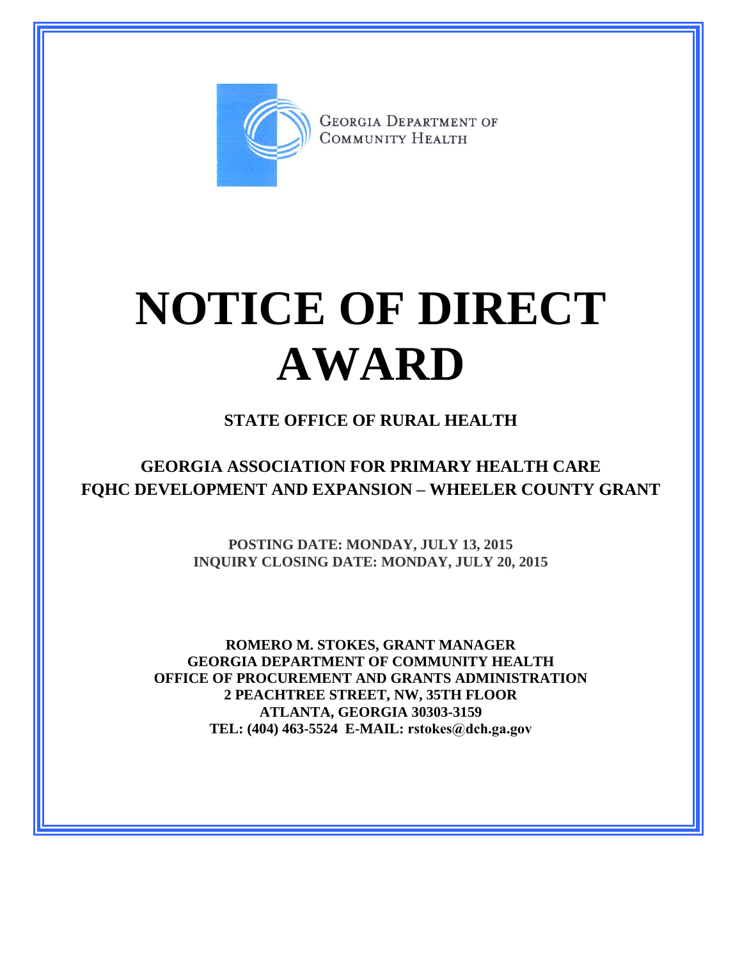

**GEORGIA DEPARTMENT OF** COMMUNITY HEALTH

## **NOTICE OF DIRECT AWARD**

## **STATE OFFICE OF RURAL HEALTH**

**GEORGIA ASSOCIATION FOR PRIMARY HEALTH CARE FQHC DEVELOPMENT AND EXPANSION – WHEELER COUNTY GRANT**

> **POSTING DATE: MONDAY, JULY 13, 2015 INQUIRY CLOSING DATE: MONDAY, JULY 20, 2015**

**ROMERO M. STOKES, GRANT MANAGER GEORGIA DEPARTMENT OF COMMUNITY HEALTH OFFICE OF PROCUREMENT AND GRANTS ADMINISTRATION 2 PEACHTREE STREET, NW, 35TH FLOOR ATLANTA, GEORGIA 30303-3159 TEL: (404) 463-5524 E-MAIL: rstokes@dch.ga.gov**